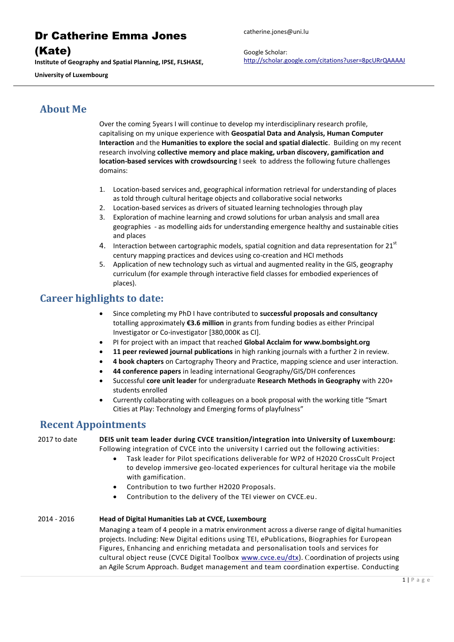### (Kate)

**Institute of Geography and Spatial Planning, IPSE, FLSHASE,** 

**University of Luxembourg**

catherine.jones@uni.lu

Google Scholar: <http://scholar.google.com/citations?user=8pcURrQAAAAJ>

## **About Me**

Over the coming 5years I will continue to develop my interdisciplinary research profile, capitalising on my unique experience with **Geospatial Data and Analysis, Human Computer Interaction** and the **Humanities to explore the social and spatial dialectic**. Building on my recent research involving **collective memory and place making, urban discovery, gamification and location-based services with crowdsourcing** I seek to address the following future challenges domains:

- 1. Location-based services and, geographical information retrieval for understanding of places as told through cultural heritage objects and collaborative social networks
- 2. Location-based services as drivers of situated learning technologies through play
- 3. Exploration of machine learning and crowd solutions for urban analysis and small area geographies - as modelling aids for understanding emergence healthy and sustainable cities and places
- 4. Interaction between cartographic models, spatial cognition and data representation for  $21<sup>st</sup>$ century mapping practices and devices using co-creation and HCI methods
- 5. Application of new technology such as virtual and augmented reality in the GIS, geography curriculum (for example through interactive field classes for embodied experiences of places).

## **Career highlights to date:**

- Since completing my PhD I have contributed to **successful proposals and consultancy** totalling approximately **€3.6 million** in grants from funding bodies as either Principal Investigator or Co-investigator [380,000K as CI].
- PI for project with an impact that reached **Global Acclaim for [www.bombsight.org](http://www.bombsight.org/)**
- **11 peer reviewed journal publications** in high ranking journals with a further 2 in review.
- **4 book chapters** on Cartography Theory and Practice, mapping science and user interaction.
- **44 conference papers** in leading international Geography/GIS/DH conferences
- Successful **core unit leader** for undergraduate **Research Methods in Geography** with 220+ students enrolled
- Currently collaborating with colleagues on a book proposal with the working title "Smart Cities at Play: Technology and Emerging forms of playfulness"

## **Recent Appointments**

2017 to date **DEIS unit team leader during CVCE transition/integration into University of Luxembourg:** Following integration of CVCE into the university I carried out the following activities:

- Task leader for Pilot specifications deliverable for WP2 of H2020 CrossCult Project to develop immersive geo-located experiences for cultural heritage via the mobile with gamification.
- Contribution to two further H2020 Proposals.
- Contribution to the delivery of the TEI viewer on CVCE.eu.

#### 2014 - 2016 **Head of Digital Humanities Lab at CVCE, Luxembourg**

Managing a team of 4 people in a matrix environment across a diverse range of digital humanities projects. Including: New Digital editions using TEI, ePublications, Biographies for European Figures, Enhancing and enriching metadata and personalisation tools and services for cultural object reuse (CVCE Digital Toolbox [www.cvce.eu/dtx\)](http://www.cvce.eu/dtx). Coordination of projects using an Agile Scrum Approach. Budget management and team coordination expertise. Conducting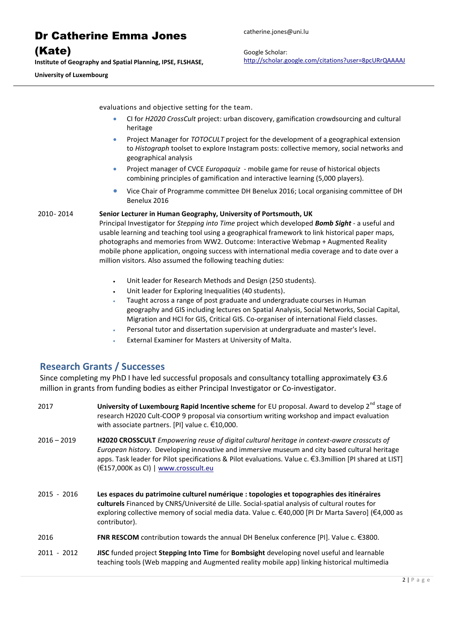(Kate)

**Institute of Geography and Spatial Planning, IPSE, FLSHASE,** 

**University of Luxembourg**

Google Scholar: <http://scholar.google.com/citations?user=8pcURrQAAAAJ>

evaluations and objective setting for the team.

- CI for *H2020 CrossCult* project: urban discovery, gamification crowdsourcing and cultural heritage
- Project Manager for *TOTOCULT* project for the development of a geographical extension to *Histograph* toolset to explore Instagram posts: collective memory, social networks and geographical analysis
- Project manager of CVCE *Europaquiz* mobile game for reuse of historical objects combining principles of gamification and interactive learning (5,000 players).
- Vice Chair of Programme committee DH Benelux 2016; Local organising committee of DH Benelux 2016

2010- 2014 **Senior Lecturer in Human Geography, University of Portsmouth, UK**

Principal Investigator for *Stepping into Time* project which developed *Bomb Sight* - a useful and usable learning and teaching tool using a geographical framework to link historical paper maps, photographs and memories from WW2. Outcome: Interactive Webmap + Augmented Reality mobile phone application, ongoing success with international media coverage and to date over a million visitors. Also assumed the following teaching duties:

- Unit leader for Research Methods and Design (250 students).
- Unit leader for Exploring Inequalities (40 students).
- Taught across a range of post graduate and undergraduate courses in Human geography and GIS including lectures on Spatial Analysis, Social Networks, Social Capital, Migration and HCI for GIS, Critical GIS. Co-organiser of international Field classes.
- Personal tutor and dissertation supervision at undergraduate and master's level.
- External Examiner for Masters at University of Malta.

#### **Research Grants / Successes**

Since completing my PhD I have led successful proposals and consultancy totalling approximately €3.6 million in grants from funding bodies as either Principal Investigator or Co-investigator.

| 2017          | University of Luxembourg Rapid Incentive scheme for EU proposal. Award to develop $2^{nd}$ stage of<br>research H2020 Cult-COOP 9 proposal via consortium writing workshop and impact evaluation<br>with associate partners. [PI] value c. $€10,000$ .                                                                                           |
|---------------|--------------------------------------------------------------------------------------------------------------------------------------------------------------------------------------------------------------------------------------------------------------------------------------------------------------------------------------------------|
| $2016 - 2019$ | H2020 CROSSCULT Empowering reuse of digital cultural heritage in context-aware crosscuts of<br>European history. Developing innovative and immersive museum and city based cultural heritage<br>apps. Task leader for Pilot specifications & Pilot evaluations. Value c. €3.3million [PI shared at LIST]<br>(€157,000K as CI)   www.crosscult.eu |
| $2015 - 2016$ | Les espaces du patrimoine culturel numérique : topologies et topographies des itinéraires<br>culturels Financed by CNRS/Université de Lille. Social-spatial analysis of cultural routes for<br>exploring collective memory of social media data. Value c. €40,000 [PI Dr Marta Savero] (€4,000 as<br>contributor).                               |
| 2016          | <b>FNR RESCOM</b> contribution towards the annual DH Benelux conference [PI]. Value c. $\epsilon$ 3800.                                                                                                                                                                                                                                          |
| $2011 - 2012$ | <b>JISC</b> funded project <b>Stepping Into Time</b> for <b>Bombsight</b> developing novel useful and learnable<br>teaching tools (Web mapping and Augmented reality mobile app) linking historical multimedia                                                                                                                                   |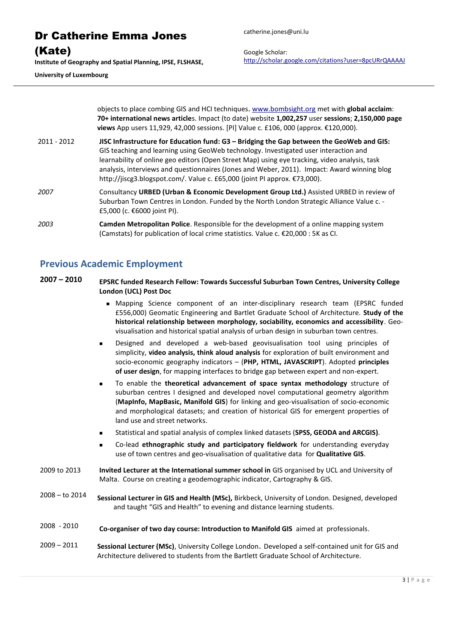| <b>Dr Catherine Emma Jones</b>                                                                 |  |  |
|------------------------------------------------------------------------------------------------|--|--|
| (Kate)                                                                                         |  |  |
| Institute of Geography and Spatial Planning, IPSE, FLSHASE,<br><b>University of Luxembourg</b> |  |  |

catherine.jones@uni.lu

Google Scholar: <http://scholar.google.com/citations?user=8pcURrQAAAAJ>

objects to place combing GIS and HCI techniques. [www.bombsight.org](http://www.bombsight.org/) met with **global acclaim**: **70+ international news article**s. Impact (to date) website **1,002,257** user **sessions**; **2,150,000 page views** App users 11,929, 42,000 sessions. [PI] Value c. £106, 000 (approx. €120,000).

- 2011 2012 **JISC Infrastructure for Education fund: G3 – Bridging the Gap between the GeoWeb and GIS:** GIS teaching and learning using GeoWeb technology. Investigated user interaction and learnability of online geo editors (Open Street Map) using eye tracking, video analysis, task analysis, interviews and questionnaires (Jones and Weber, 2011). Impact: Award winning blog <http://jiscg3.blogspot.com/>. Value c. £65,000 (joint PI approx. €73,000).
- *2007* Consultancy **URBED (Urban & Economic Development Group Ltd.)** Assisted URBED in review of Suburban Town Centres in London. Funded by the North London Strategic Alliance Value c. - £5,000 (c. €6000 joint PI).
- *2003* **Camden Metropolitan Police**. Responsible for the development of a online mapping system (Camstats) for publication of local crime statistics. Value c. €20,000 : 5K as CI.

### **Previous Academic Employment**

- **2007 – 2010 EPSRC funded Research Fellow: Towards Successful Suburban Town Centres, University College London (UCL) Post Doc**
	- Mapping Science component of an inter-disciplinary research team (EPSRC funded £556,000) Geomatic Engineering and Bartlet Graduate School of Architecture. **Study of the historical relationship between morphology, sociability, economics and accessibility**. Geovisualisation and historical spatial analysis of urban design in suburban town centres.
	- Designed and developed a [web-based geovisualisation tool](http://www-research.ge.ucl.ac.uk/sstc/profiler/profiler.php.) using principles of simplicity, **video analysis, think aloud analysis** for exploration of built environment and socio-economic geography indicators – (**PHP, HTML, JAVASCRIPT**). Adopted **principles of user design**, for mapping interfaces to bridge gap between expert and non-expert.
	- To enable the **theoretical advancement of space syntax methodology** structure of suburban centres I designed and developed novel computational geometry algorithm (**MapInfo, MapBasic, Manifold GIS**) for linking and geo-visualisation of socio-economic and morphological datasets; and creation of historical GIS for emergent properties of land use and street networks.
	- Statistical and spatial analysis of complex linked datasets (**SPSS, GEODA and ARCGIS)**.
	- Co-lead **ethnographic study and participatory fieldwork** for understanding everyday use of town centres and geo-visualisation of qualitative data for **Qualitative GIS**.
- 2009 to 2013 **Invited Lecturer at the International summer school in** GIS organised by UCL and University of Malta. Course on creating a geodemographic indicator, Cartography & GIS.
- 2008 to 2014 **Sessional Lecturer in GIS and Health (MSc),** Birkbeck, University of London. Designed, developed and taught "GIS and Health" to evening and distance learning students.
- 2008 2010 **Co-organiser of two day course: Introduction to Manifold GIS** aimed at professionals.

2009 – 2011 **Sessional Lecturer (MSc)**, University College London. Developed a self-contained unit for GIS and Architecture delivered to students from the Bartlett Graduate School of Architecture.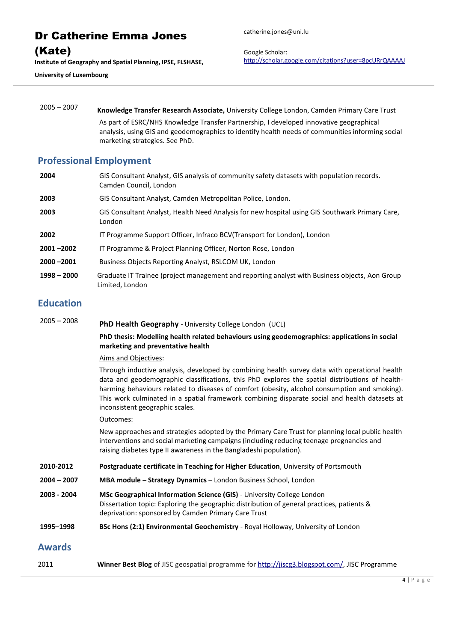Dr Catherine Emma Jones (Kate) **Institute of Geography and Spatial Planning, IPSE, FLSHASE, University of Luxembourg**

catherine.jones@uni.lu

Google Scholar: <http://scholar.google.com/citations?user=8pcURrQAAAAJ>

2005 – 2007 **Knowledge Transfer Research Associate,** University College London, Camden Primary Care Trust As part of ESRC/NHS Knowledge Transfer Partnership, I developed innovative geographical analysis, using GIS and geodemographics to identify health needs of communities informing social marketing strategies. See PhD.

#### **Professional Employment**

GIS Consultant Analyst, GIS analysis of community safety datasets with population records. Camden Council, London GIS Consultant Analyst, Camden Metropolitan Police, London. GIS Consultant Analyst, Health Need Analysis for new hospital using GIS Southwark Primary Care, London IT Programme Support Officer, Infraco BCV(Transport for London), London **–2002** IT Programme & Project Planning Officer, Norton Rose, London **–2001** Business Objects Reporting Analyst, RSLCOM UK, London **– 2000** Graduate IT Trainee (project management and reporting analyst with Business objects, Aon Group Limited, London

### **Education**

<sup>2005</sup>– <sup>2008</sup> **PhD Health Geography** - University College London (UCL)

#### **PhD thesis: Modelling health related behaviours using geodemographics: applications in social marketing and preventative health**

#### Aims and Objectives:

Through inductive analysis, developed by combining health survey data with operational health data and geodemographic classifications, this PhD explores the spatial distributions of healthharming behaviours related to diseases of comfort (obesity, alcohol consumption and smoking). This work culminated in a spatial framework combining disparate social and health datasets at inconsistent geographic scales.

#### Outcomes:

New approaches and strategies adopted by the Primary Care Trust for planning local public health interventions and social marketing campaigns (including reducing teenage pregnancies and raising diabetes type II awareness in the Bangladeshi population).

- **2010-2012 Postgraduate certificate in Teaching for Higher Education**, University of Portsmouth
- **2004 – 2007 MBA module – Strategy Dynamics**  London Business School, London
- **2003 - 2004 MSc Geographical Information Science (GIS)** University College London Dissertation topic: Exploring the geographic distribution of general practices, patients & deprivation: sponsored by Camden Primary Care Trust
- **1995–1998 BSc Hons (2:1) Environmental Geochemistry** *-* Royal Holloway, University of London

#### **Awards**

2011 **Winner Best Blog** of JISC geospatial programme for [http://jiscg3.blogspot.com/,](http://jiscg3.blogspot.com/) JISC Programme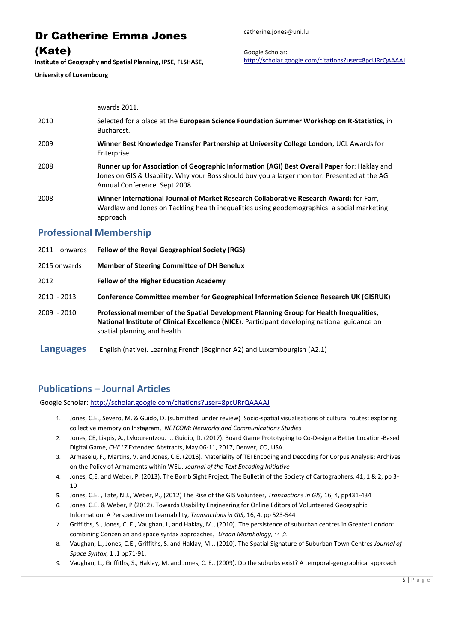#### (Kate)

**Institute of Geography and Spatial Planning, IPSE, FLSHASE,** 

**University of Luxembourg**

Google Scholar: <http://scholar.google.com/citations?user=8pcURrQAAAAJ>

awards 2011.

- 2010 Selected for a place at the **European Science Foundation Summer Workshop on R-Statistics**, in Bucharest.
- 2009 **Winner Best Knowledge Transfer Partnership at University College London**, UCL Awards for Enterprise
- 2008 **Runner up for Association of Geographic Information (AGI) Best Overall Paper** for: Haklay and Jones on GIS & Usability: Why your Boss should buy you a larger monitor. Presented at the AGI Annual Conference. Sept 2008.
- 2008 **Winner International Journal of Market Research Collaborative Research Award:** for Farr, Wardlaw and Jones on Tackling health inequalities using geodemographics: a social marketing approach

#### **Professional Membership**

2011 onwards **Fellow of the Royal Geographical Society (RGS)** 2015 onwards **Member of Steering Committee of DH Benelux** 2012 **Fellow of the Higher Education Academy** 2010 - 2013 **Conference Committee member for Geographical Information Science Research UK (GISRUK)** 2009 - 2010 **Professional member of the Spatial Development Planning Group for Health Inequalities, National Institute of Clinical Excellence (NICE**): Participant developing national guidance on spatial planning and health **Languages** English (native). Learning French (Beginner A2) and Luxembourgish (A2.1)

### **Publications – Journal Articles**

Google Scholar[: http://scholar.google.com/citations?user=8pcURrQAAAAJ](http://scholar.google.com/citations?user=8pcURrQAAAAJ)

- 1. Jones, C.E., Severo, M. & Guido, D. (submitted: under review) Socio-spatial visualisations of cultural routes: exploring collective memory on Instagram, *NETCOM: Networks and Communications Studies*
- 2. Jones, CE, Liapis, A., Lykourentzou. I., Guidio, D. (2017). Board Game Prototyping to Co-Design a Better Location-Based Digital Game, *CHI'17* Extended Abstracts, May 06-11, 2017, Denver, CO, USA.
- 3. Armaselu, F., Martins, V. and Jones, C.E. (2016). Materiality of TEI Encoding and Decoding for Corpus Analysis: Archives on the Policy of Armaments within WEU. *Journal of the Text Encoding Initiative*
- 4. Jones, C,E. and Weber, P. (2013). The Bomb Sight Project, The Bulletin of the Society of Cartographers, 41, 1 & 2, pp 3- 10
- 5. Jones, C.E. , Tate, N.J., Weber, P., (2012) The Rise of the GIS Volunteer, *Transactions in GIS,* 16, 4, pp431-434
- 6. Jones, C.E. & Weber, P (2012). Towards Usability Engineering for Online Editors of Volunteered Geographic Information: A Perspective on Learnability, *Transactions in GIS*, 16, 4, pp 523-544
- 7. Griffiths, S., Jones, C. E., Vaughan, L, and Haklay, M., (2010). The persistence of suburban centres in Greater London: combining Conzenian and space syntax approaches, *Urban Morphology*, 14 ,2,
- 8. Vaughan, L., Jones, C.E., Griffiths, S. and Haklay, M.., (2010). The Spatial Signature of Suburban Town Centres *Journal of Space Syntax*, 1 ,1 pp71-91.
- *9.* Vaughan, L., Griffiths, S., Haklay, M. and Jones, C. E., (2009). Do the suburbs exist? A temporal-geographical approach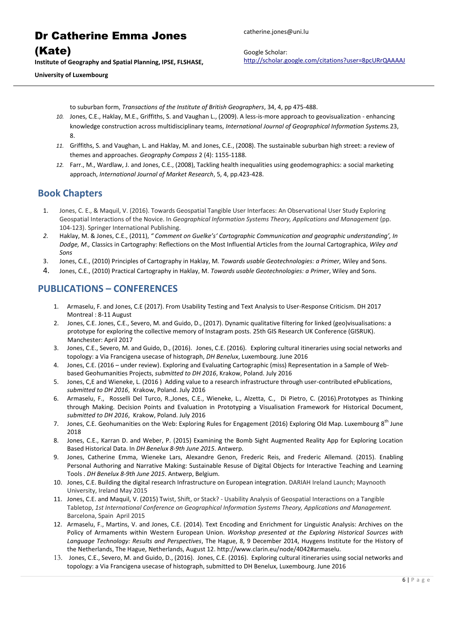Dr Catherine Emma Jones (Kate)

**Institute of Geography and Spatial Planning, IPSE, FLSHASE,** 

**University of Luxembourg**

catherine.jones@uni.lu

Google Scholar: <http://scholar.google.com/citations?user=8pcURrQAAAAJ>

to suburban form, *Transactions of the Institute of British Geographers*, 34, 4, pp 475-488.

- *10.* Jones, C.E., Haklay, M.E., Griffiths, S. and Vaughan L., (2009). A less-is-more approach to geovisualization enhancing knowledge construction across multidisciplinary teams, *International Journal of Geographical Information Systems.*23, 8.
- *11.* Griffiths, S. and Vaughan, L. and Haklay, M. and Jones, C.E., (2008). The sustainable suburban high street: a review of themes and approaches. *Geography Compass* 2 (4): 1155-1188.
- *12.* Farr., M., Wardlaw, J. and Jones, C.E., (2008), Tackling health inequalities using geodemographics: a social marketing approach, *International Journal of Market Research*, 5, 4, pp.423-428.

#### **Book Chapters**

- 1. Jones, C. E., & Maquil, V. (2016). Towards Geospatial Tangible User Interfaces: An Observational User Study Exploring Geospatial Interactions of the Novice. In *Geographical Information Systems Theory, Applications and Management* (pp. 104-123). Springer International Publishing.
- *2.* Haklay, M. & Jones, C.E., (2011), *" Comment on Guelke's' Cartographic Communication and geographic understanding', In Dodge, M.,* Classics in Cartography: Reflections on the Most Influential Articles from the Journal Cartographica, *Wiley and Sons*
- 3. Jones, C.E., (2010) Principles of Cartography in Haklay, M. *Towards usable Geotechnologies: a Primer,* Wiley and Sons.
- 4. Jones, C.E., (2010) Practical Cartography in Haklay, M. *Towards usable Geotechnologies: a Primer*, Wiley and Sons.

## **PUBLICATIONS – CONFERENCES**

- 1. Armaselu, F. and Jones, C.E (2017). From Usability Testing and Text Analysis to User-Response Criticism. DH 2017 Montreal : 8-11 August
- 2. Jones, C.E. Jones, C.E., Severo, M. and Guido, D., (2017). Dynamic qualitative filtering for linked (geo)visualisations: a prototype for exploring the collective memory of Instagram posts. 25th GIS Research UK Conference (GISRUK). Manchester: April 2017
- 3. Jones, C.E., Severo, M. and Guido, D., (2016). Jones, C.E. (2016). Exploring cultural itineraries using social networks and topology: a Via Francigena usecase of histograph, *DH Benelux*, Luxembourg. June 2016
- 4. Jones, C.E. (2016 under review). Exploring and Evaluating Cartographic (miss) Representation in a Sample of Webbased Geohumanities Projects, *submitted to DH 2016*, Krakow, Poland. July 2016
- 5. Jones, C,E and Wieneke, L. (2016 ) Adding value to a research infrastructure through user-contributed ePublications, *submitted to DH 2016*, Krakow, Poland. July 2016
- 6. Armaselu, F., Rosselli Del Turco, R.,Jones, C.E., Wieneke, L., Alzetta, C., Di Pietro, C. (2016).Prototypes as Thinking through Making. Decision Points and Evaluation in Prototyping a Visualisation Framework for Historical Document*, submitted to DH 2016*, Krakow, Poland. July 2016
- 7. Jones, C.E. Geohumanities on the Web: Exploring Rules for Engagement (2016) Exploring Old Map. Luxembourg  $8^{th}$  June 2018
- 8. Jones, C.E., Karran D. and Weber, P. (2015) Examining the Bomb Sight Augmented Reality App for Exploring Location Based Historical Data. In *DH Benelux 8-9th June 2015*. Antwerp.
- 9. Jones, Catherine Emma, Wieneke Lars, Alexandre Genon, Frederic Reis, and Frederic Allemand. (2015). Enabling Personal Authoring and Narrative Making: Sustainable Resuse of Digital Objects for Interactive Teaching and Learning Tools . *DH Benelux 8-9th June 2015*. Antwerp, Belgium.
- 10. Jones, C.E. Building the digital research Infrastructure on European integration. DARIAH Ireland Launch; Maynooth University, Ireland May 2015
- 11. Jones, C.E. and Maquil, V. (2015) Twist, Shift, or Stack? Usability Analysis of Geospatial Interactions on a Tangible Tabletop, *1st International Conference on Geographical Information Systems Theory, Applications and Management.*  Barcelona, Spain April 2015
- 12. Armaselu, F., Martins, V. and Jones, C.E. (2014). Text Encoding and Enrichment for Linguistic Analysis: Archives on the Policy of Armaments within Western European Union. *Workshop presented at the Exploring Historical Sources with Language Technology: Results and Perspectives*, The Hague, 8, 9 December 2014, Huygens Institute for the History of the Netherlands, The Hague, Netherlands, August 12. http://www.clarin.eu/node/4042#armaselu.
- 13. Jones, C.E., Severo, M. and Guido, D., (2016). Jones, C.E. (2016). Exploring cultural itineraries using social networks and topology: a Via Francigena usecase of histograph, submitted to DH Benelux, Luxembourg. June 2016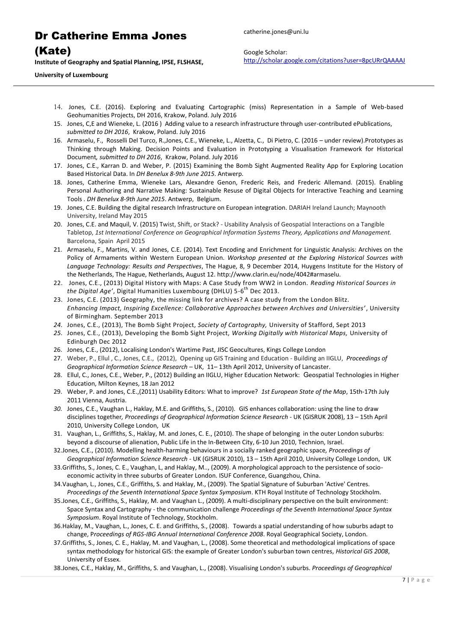catherine.jones@uni.lu

(Kate)

**Institute of Geography and Spatial Planning, IPSE, FLSHASE,** 

Google Scholar: <http://scholar.google.com/citations?user=8pcURrQAAAAJ>

**University of Luxembourg**

- 14. Jones, C.E. (2016). Exploring and Evaluating Cartographic (miss) Representation in a Sample of Web-based Geohumanities Projects, DH 2016, Krakow, Poland. July 2016
- 15. Jones, C,E and Wieneke, L. (2016 ) Adding value to a research infrastructure through user-contributed ePublications, *submitted to DH 2016*, Krakow, Poland. July 2016
- 16. Armaselu, F., Rosselli Del Turco, R.,Jones, C.E., Wieneke, L., Alzetta, C., Di Pietro, C. (2016 under review).Prototypes as Thinking through Making. Decision Points and Evaluation in Prototyping a Visualisation Framework for Historical Document*, submitted to DH 2016*, Krakow, Poland. July 2016
- 17. Jones, C.E., Karran D. and Weber, P. (2015) Examining the Bomb Sight Augmented Reality App for Exploring Location Based Historical Data. In *DH Benelux 8-9th June 2015*. Antwerp.
- 18. Jones, Catherine Emma, Wieneke Lars, Alexandre Genon, Frederic Reis, and Frederic Allemand. (2015). Enabling Personal Authoring and Narrative Making: Sustainable Resuse of Digital Objects for Interactive Teaching and Learning Tools . *DH Benelux 8-9th June 2015*. Antwerp, Belgium.
- 19. Jones, C.E. Building the digital research Infrastructure on European integration. DARIAH Ireland Launch; Maynooth University, Ireland May 2015
- 20. Jones, C.E. and Maquil, V. (2015) Twist, Shift, or Stack? Usability Analysis of Geospatial Interactions on a Tangible Tabletop, *1st International Conference on Geographical Information Systems Theory, Applications and Management.*  Barcelona, Spain April 2015
- 21. Armaselu, F., Martins, V. and Jones, C.E. (2014). Text Encoding and Enrichment for Linguistic Analysis: Archives on the Policy of Armaments within Western European Union. *Workshop presented at the Exploring Historical Sources with Language Technology: Results and Perspectives*, The Hague, 8, 9 December 2014, Huygens Institute for the History of the Netherlands, The Hague, Netherlands, August 12. http://www.clarin.eu/node/4042#armaselu.
- 22. Jones, C.E., (2013) Digital History with Maps: A Case Study from WW2 in London. *Reading Historical Sources in*  the Digital Age', Digital Humanities Luxembourg (DHLU) 5-6<sup>th</sup> Dec 2013.
- 23. Jones, C.E. (2013) Geography, the missing link for archives? A case study from the London Blitz. *Enhancing Impact, Inspiring Excellence: Collaborative Approaches between Archives and Universities'* , University of Birmingham. September 2013
- *24.* Jones, C.E., (2013), The Bomb Sight Project, *Society of Cartography,* University of Stafford, Sept 2013
- *25.* Jones, C.E., (2013), Developing the Bomb Sight Project, *Working Digitally with Historical Maps,* University of Edinburgh Dec 2012
- 26. Jones, C.E., (2012), Localising London's Wartime Past, JISC Geocultures, Kings College London
- 27. Weber, P., Ellul , C., Jones, C.E., (2012), Opening up GIS Training and Education Building an IIGLU, *Proceedings of Geographical Information Science Research* – UK, 11– 13th April 2012, University of Lancaster.
- 28. Ellul, C., Jones, C.E., Weber, P., (2012) Building an IIGLU, Higher Education Network: Geospatial Technologies in Higher Education, Milton Keynes, 18 Jan 2012
- 29. Weber, P. and Jones, C.E.,(2011) Usability Editors: What to improve? *1st European State of the Map*, 15th-17th July 2011 Vienna, Austria.
- *30.* Jones, C.E., Vaughan L., Haklay, M.E. and Griffiths, S., (2010). GIS enhances collaboration: using the line to draw disciplines together*, Proceedings of Geographical Information Science Research* - UK (GISRUK 2008), 13 – 15th April 2010, University College London, UK
- 31. Vaughan, L., Griffiths, S., Haklay, M. and Jones, C. E., (2010). The shape of belonging in the outer London suburbs: beyond a discourse of alienation, Public Life in the In-Between City, 6-10 Jun 2010, Technion, Israel.
- 32.Jones, C.E., (2010). Modelling health-harming behaviours in a socially ranked geographic space*, Proceedings of Geographical Information Science Research* - UK (GISRUK 2010), 13 – 15th April 2010, University College London, UK
- 33.Griffiths, S., Jones, C. E., Vaughan, L, and Haklay, M.., (2009). A morphological approach to the persistence of socioeconomic activity in three suburbs of Greater London. ISUF Conference, Guangzhou, China.
- 34.Vaughan, L., Jones, C.E., Griffiths, S. and Haklay, M., (2009). The Spatial Signature of Suburban 'Active' Centres. *Proceedings of the Seventh International Space Syntax Symposium*. KTH Royal Institute of Technology Stockholm.
- 35.Jones, C.E., Griffiths, S., Haklay, M. and Vaughan L., (2009). A multi-disciplinary perspective on the built environment: Space Syntax and Cartography - the communication challenge *Proceedings of the Seventh International Space Syntax Symposium*. Royal Institute of Technology, Stockholm.
- 36.Haklay, M., Vaughan, L., Jones, C. E. and Griffiths, S., (2008). Towards a spatial understanding of how suburbs adapt to change, P*roceedings of RGS-IBG Annual International Conference 2008*. Royal Geographical Society, London.
- 37.Griffiths, S., Jones, C. E., Haklay, M. and Vaughan, L., (2008). Some theoretical and methodological implications of space syntax methodology for historical GIS: the example of Greater London's suburban town centres, *Historical GIS 2008*, University of Essex.
- 38.Jones, C.E., Haklay, M., Griffiths, S. and Vaughan, L., (2008). Visualising London's suburbs. *Proceedings of Geographical*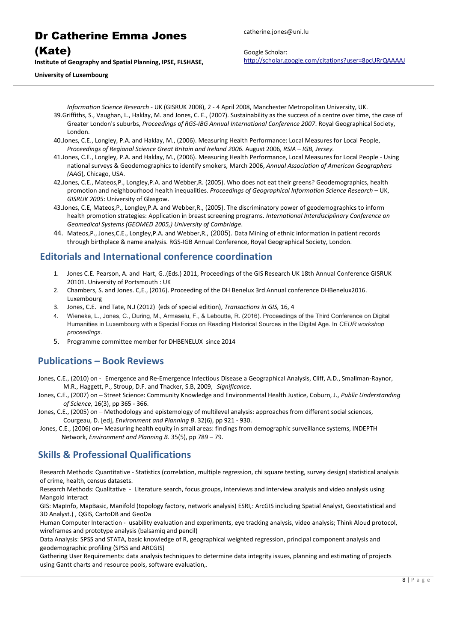(Kate)

**Institute of Geography and Spatial Planning, IPSE, FLSHASE,** 

catherine.jones@uni.lu

Google Scholar: <http://scholar.google.com/citations?user=8pcURrQAAAAJ>

**University of Luxembourg**

*Information Science Research* - UK (GISRUK 2008), 2 - 4 April 2008, Manchester Metropolitan University, UK. 39.Griffiths, S., Vaughan, L., Haklay, M. and Jones, C. E., (2007). Sustainability as the success of a centre over time, the case of Greater London's suburbs, *Proceedings of RGS-IBG Annual International Conference 2007*. Royal Geographical Society, London.

- 40.Jones, C.E., Longley, P.A. and Haklay, M., (2006). Measuring Health Performance: Local Measures for Local People, *Proceedings of Regional Science Great Britain and Ireland 2006.* August 2006*, RSIA – IGB, Jersey.*
- 41.Jones, C.E., Longley, P.A. and Haklay, M., (2006). Measuring Health Performance, Local Measures for Local People Using national surveys & Geodemographics to identify smokers, March 2006, *Annual Association of American Geographers (AAG*), Chicago, USA.
- 42.Jones, C.E., Mateos,P., Longley,P.A. and Webber,R. (2005). Who does not eat their greens? Geodemographics, health promotion and neighbourhood health inequalities. *Proceedings of Geographical Information Science Research* – UK, *GISRUK 2005*: University of Glasgow.
- 43.Jones, C.E, Mateos,P., Longley,P.A. and Webber,R., (2005). The discriminatory power of geodemographics to inform health promotion strategies: Application in breast screening programs. *International Interdisciplinary Conference on Geomedical Systems (GEOMED 2005,) University of Cambridge*.
- 44. Mateos,P., Jones,C.E., Longley,P.A. and Webber,R., (2005). Data Mining of ethnic information in patient records through birthplace & name analysis. RGS-IGB Annual Conference, Royal Geographical Society, London.

#### **Editorials and International conference coordination**

- 1. Jones C.E. Pearson, A. and Hart, G..(Eds.) 2011, Proceedings of the GIS Research UK 18th Annual Conference GISRUK 20101. University of Portsmouth : UK
- 2. Chambers, S. and Jones. C,E., (2016). Proceeding of the DH Benelux 3rd Annual conference DHBenelux2016. Luxembourg
- 3. Jones, C.E. and Tate, N.J (2012) (eds of special edition), *Transactions in GIS,* 16, 4
- 4. Wieneke, L., Jones, C., During, M., Armaselu, F., & Leboutte, R. (2016). Proceedings of the Third Conference on Digital Humanities in Luxembourg with a Special Focus on Reading Historical Sources in the Digital Age. In *CEUR workshop proceedings*.
- 5. Programme committee member for DHBENELUX since 2014

### **Publications – Book Reviews**

- Jones, C.E., (2010) on Emergence and Re-Emergence Infectious Disease a Geographical Analysis, Cliff, A.D., Smallman-Raynor, M.R., Haggett, P., Stroup, D.F. and Thacker, S.B, 2009, *Significance*.
- Jones, C.E., (2007) on Street Science: Community Knowledge and Environmental Health Justice, Coburn, J., *Public Understanding of Science,* 16(3), pp 365 - 366.
- Jones, C.E., (2005) on Methodology and epistemology of multilevel analysis: approaches from different social sciences, Courgeau, D. [ed], *Environment and Planning B*. 32(6), pp 921 - 930.
- Jones, C.E., (2006) on– Measuring health equity in small areas: findings from demographic surveillance systems, INDEPTH Network, *Environment and Planning B*. 35(5), pp 789 – 79.

## **Skills & Professional Qualifications**

Research Methods: Quantitative - Statistics (correlation, multiple regression, chi square testing, survey design) statistical analysis of crime, health, census datasets.

Research Methods: Qualitative - Literature search, focus groups, interviews and interview analysis and video analysis using Mangold Interact

GIS: MapInfo, MapBasic, Manifold (topology factory, network analysis) ESRI,: ArcGIS including Spatial Analyst, Geostatistical and 3D Analyst.) , QGIS, CartoDB and GeoDa

Human Computer Interaction - usability evaluation and experiments, eye tracking analysis, video analysis; Think Aloud protocol, wireframes and prototype analysis (balsamiq and pencil)

Data Analysis: SPSS and STATA, basic knowledge of R, geographical weighted regression, principal component analysis and geodemographic profiling (SPSS and ARCGIS)

Gathering User Requirements: data analysis techniques to determine data integrity issues, planning and estimating of projects using Gantt charts and resource pools, software evaluation,.